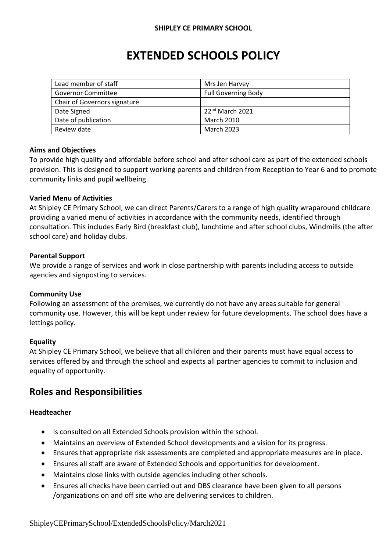# **EXTENDED SCHOOLS POLICY**

| Lead member of staff         | Mrs Jen Harvey             |
|------------------------------|----------------------------|
| <b>Governor Committee</b>    | <b>Full Governing Body</b> |
| Chair of Governors signature |                            |
| Date Signed                  | $22^{nd}$ March 2021       |
| Date of publication          | March 2010                 |
| Review date                  | <b>March 2023</b>          |

#### **Aims and Objectives**

To provide high quality and affordable before school and after school care as part of the extended schools provision. This is designed to support working parents and children from Reception to Year 6 and to promote community links and pupil wellbeing.

#### **Varied Menu of Activities**

At Shipley CE Primary School, we can direct Parents/Carers to a range of high quality wraparound childcare providing a varied menu of activities in accordance with the community needs, identified through consultation. This includes Early Bird (breakfast club), lunchtime and after school clubs, Windmills (the after school care) and holiday clubs.

#### **Parental Support**

We provide a range of services and work in close partnership with parents including access to outside agencies and signposting to services.

## **Community Use**

Following an assessment of the premises, we currently do not have any areas suitable for general community use. However, this will be kept under review for future developments. The school does have a lettings policy.

#### **Equality**

At Shipley CE Primary School, we believe that all children and their parents must have equal access to services offered by and through the school and expects all partner agencies to commit to inclusion and equality of opportunity.

# **Roles and Responsibilities**

## **Headteacher**

- Is consulted on all Extended Schools provision within the school.
- Maintains an overview of Extended School developments and a vision for its progress.
- Ensures that appropriate risk assessments are completed and appropriate measures are in place.
- Ensures all staff are aware of Extended Schools and opportunities for development.
- Maintains close links with outside agencies including other schools.
- Ensures all checks have been carried out and DBS clearance have been given to all persons /organizations on and off site who are delivering services to children.